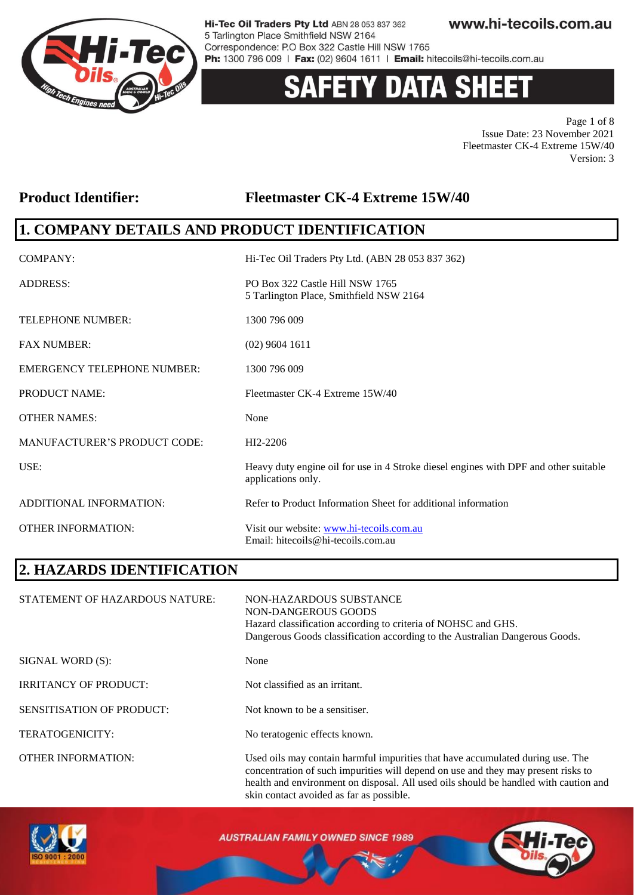

# **Y DATA SHEE**

Page 1 of 8 Issue Date: 23 November 2021 Fleetmaster CK-4 Extreme 15W/40 Version: 3

#### **Product Identifier: Fleetmaster CK-4 Extreme 15W/40**

### **1. COMPANY DETAILS AND PRODUCT IDENTIFICATION**

| COMPANY:                            | Hi-Tec Oil Traders Pty Ltd. (ABN 28 053 837 362)                                                           |
|-------------------------------------|------------------------------------------------------------------------------------------------------------|
| <b>ADDRESS:</b>                     | PO Box 322 Castle Hill NSW 1765<br>5 Tarlington Place, Smithfield NSW 2164                                 |
| <b>TELEPHONE NUMBER:</b>            | 1300 796 009                                                                                               |
| <b>FAX NUMBER:</b>                  | $(02)$ 9604 1611                                                                                           |
| <b>EMERGENCY TELEPHONE NUMBER:</b>  | 1300 796 009                                                                                               |
| <b>PRODUCT NAME:</b>                | Fleetmaster CK-4 Extreme 15W/40                                                                            |
| <b>OTHER NAMES:</b>                 | None                                                                                                       |
| <b>MANUFACTURER'S PRODUCT CODE:</b> | HI2-2206                                                                                                   |
| USE:                                | Heavy duty engine oil for use in 4 Stroke diesel engines with DPF and other suitable<br>applications only. |
| ADDITIONAL INFORMATION:             | Refer to Product Information Sheet for additional information                                              |
| <b>OTHER INFORMATION:</b>           | Visit our website: www.hi-tecoils.com.au<br>Email: hitecoils@hi-tecoils.com.au                             |

### **2. HAZARDS IDENTIFICATION**

| STATEMENT OF HAZARDOUS NATURE:   | NON-HAZARDOUS SUBSTANCE<br>NON-DANGEROUS GOODS<br>Hazard classification according to criteria of NOHSC and GHS.<br>Dangerous Goods classification according to the Australian Dangerous Goods.                                                              |
|----------------------------------|-------------------------------------------------------------------------------------------------------------------------------------------------------------------------------------------------------------------------------------------------------------|
| SIGNAL WORD (S):                 | None                                                                                                                                                                                                                                                        |
| <b>IRRITANCY OF PRODUCT:</b>     | Not classified as an irritant.                                                                                                                                                                                                                              |
| <b>SENSITISATION OF PRODUCT:</b> | Not known to be a sensitiser.                                                                                                                                                                                                                               |
| TERATOGENICITY:                  | No teratogenic effects known.                                                                                                                                                                                                                               |
| <b>OTHER INFORMATION:</b>        | Used oils may contain harmful impurities that have accumulated during use. The<br>concentration of such impurities will depend on use and they may present risks to<br>health and environment on disposal. All used oils should be handled with caution and |

skin contact avoided as far as possible.



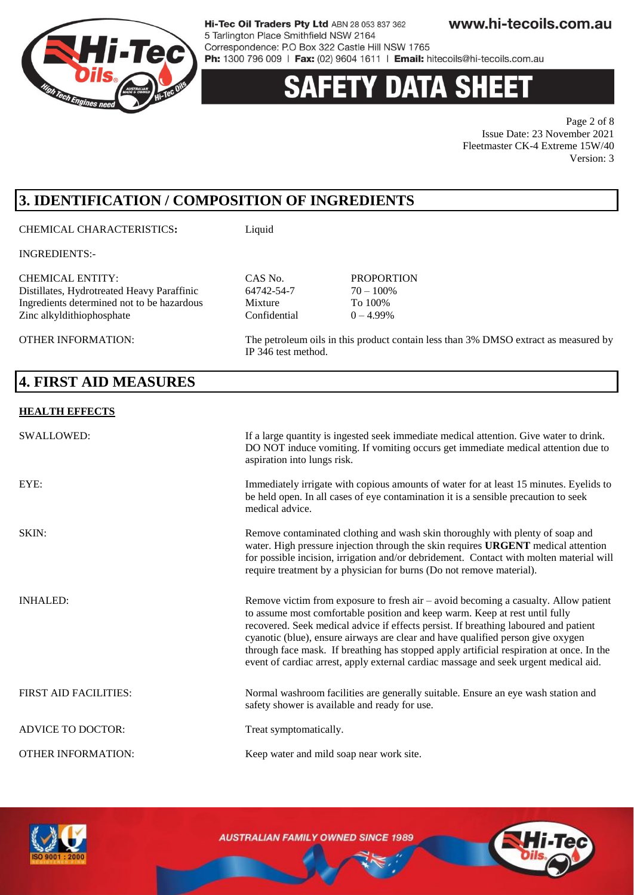

### 'Y DATA SHEE

Page 2 of 8 Issue Date: 23 November 2021 Fleetmaster CK-4 Extreme 15W/40 Version: 3

### **3. IDENTIFICATION / COMPOSITION OF INGREDIENTS**

CHEMICAL CHARACTERISTICS**:** Liquid

INGREDIENTS:-

CHEMICAL ENTITY:<br>
Distillates. Hydrotreated Heavy Paraffinic<br>
64742-54-7 70 - 100% Distillates, Hydrotreated Heavy Paraffinic 64742-54-7 70 – 100%<br>Ingredients determined not to be hazardous Mixture To 100% Ingredients determined not to be hazardous Mixture Zinc alkyldithiophosphate Confidential  $0 - 4.99\%$ 

OTHER INFORMATION: The petroleum oils in this product contain less than 3% DMSO extract as measured by

### **4. FIRST AID MEASURES**

#### **HEALTH EFFECTS**

| SWALLOWED:                   | If a large quantity is ingested seek immediate medical attention. Give water to drink.<br>DO NOT induce vomiting. If vomiting occurs get immediate medical attention due to<br>aspiration into lungs risk.                                                                                                                                                                                                                                                                                                                          |
|------------------------------|-------------------------------------------------------------------------------------------------------------------------------------------------------------------------------------------------------------------------------------------------------------------------------------------------------------------------------------------------------------------------------------------------------------------------------------------------------------------------------------------------------------------------------------|
| EYE:                         | Immediately irrigate with copious amounts of water for at least 15 minutes. Eyelids to<br>be held open. In all cases of eye contamination it is a sensible precaution to seek<br>medical advice.                                                                                                                                                                                                                                                                                                                                    |
| SKIN:                        | Remove contaminated clothing and wash skin thoroughly with plenty of soap and<br>water. High pressure injection through the skin requires URGENT medical attention<br>for possible incision, irrigation and/or debridement. Contact with molten material will<br>require treatment by a physician for burns (Do not remove material).                                                                                                                                                                                               |
| <b>INHALED:</b>              | Remove victim from exposure to fresh air $-$ avoid becoming a casualty. Allow patient<br>to assume most comfortable position and keep warm. Keep at rest until fully<br>recovered. Seek medical advice if effects persist. If breathing laboured and patient<br>cyanotic (blue), ensure airways are clear and have qualified person give oxygen<br>through face mask. If breathing has stopped apply artificial respiration at once. In the<br>event of cardiac arrest, apply external cardiac massage and seek urgent medical aid. |
| <b>FIRST AID FACILITIES:</b> | Normal washroom facilities are generally suitable. Ensure an eye wash station and<br>safety shower is available and ready for use.                                                                                                                                                                                                                                                                                                                                                                                                  |
| <b>ADVICE TO DOCTOR:</b>     | Treat symptomatically.                                                                                                                                                                                                                                                                                                                                                                                                                                                                                                              |
| <b>OTHER INFORMATION:</b>    | Keep water and mild soap near work site.                                                                                                                                                                                                                                                                                                                                                                                                                                                                                            |

IP 346 test method.



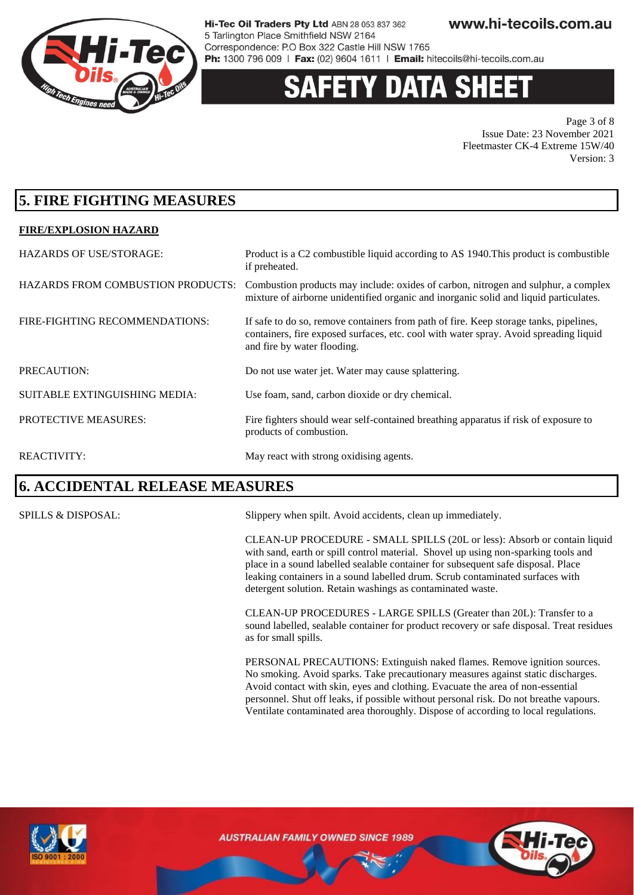

### 'Y DATA SH

Page 3 of 8 Issue Date: 23 November 2021 Fleetmaster CK-4 Extreme 15W/40 Version: 3

### **5. FIRE FIGHTING MEASURES**

#### **FIRE/EXPLOSION HAZARD**

| <b>HAZARDS OF USE/STORAGE:</b>           | Product is a C2 combustible liquid according to AS 1940. This product is combustible<br>if preheated.                                                                                                         |
|------------------------------------------|---------------------------------------------------------------------------------------------------------------------------------------------------------------------------------------------------------------|
| <b>HAZARDS FROM COMBUSTION PRODUCTS:</b> | Combustion products may include: oxides of carbon, nitrogen and sulphur, a complex<br>mixture of airborne unidentified organic and inorganic solid and liquid particulates.                                   |
| FIRE-FIGHTING RECOMMENDATIONS:           | If safe to do so, remove containers from path of fire. Keep storage tanks, pipelines,<br>containers, fire exposed surfaces, etc. cool with water spray. Avoid spreading liquid<br>and fire by water flooding. |
| PRECAUTION:                              | Do not use water jet. Water may cause splattering.                                                                                                                                                            |
| SUITABLE EXTINGUISHING MEDIA:            | Use foam, sand, carbon dioxide or dry chemical.                                                                                                                                                               |
| PROTECTIVE MEASURES:                     | Fire fighters should wear self-contained breathing apparatus if risk of exposure to<br>products of combustion.                                                                                                |
| <b>REACTIVITY:</b>                       | May react with strong oxidising agents.                                                                                                                                                                       |

### **6. ACCIDENTAL RELEASE MEASURES**

SPILLS & DISPOSAL: Slippery when spilt. Avoid accidents, clean up immediately.

CLEAN-UP PROCEDURE - SMALL SPILLS (20L or less): Absorb or contain liquid with sand, earth or spill control material. Shovel up using non-sparking tools and place in a sound labelled sealable container for subsequent safe disposal. Place leaking containers in a sound labelled drum. Scrub contaminated surfaces with detergent solution. Retain washings as contaminated waste.

CLEAN-UP PROCEDURES - LARGE SPILLS (Greater than 20L): Transfer to a sound labelled, sealable container for product recovery or safe disposal. Treat residues as for small spills.

PERSONAL PRECAUTIONS: Extinguish naked flames. Remove ignition sources. No smoking. Avoid sparks. Take precautionary measures against static discharges. Avoid contact with skin, eyes and clothing. Evacuate the area of non-essential personnel. Shut off leaks, if possible without personal risk. Do not breathe vapours. Ventilate contaminated area thoroughly. Dispose of according to local regulations.



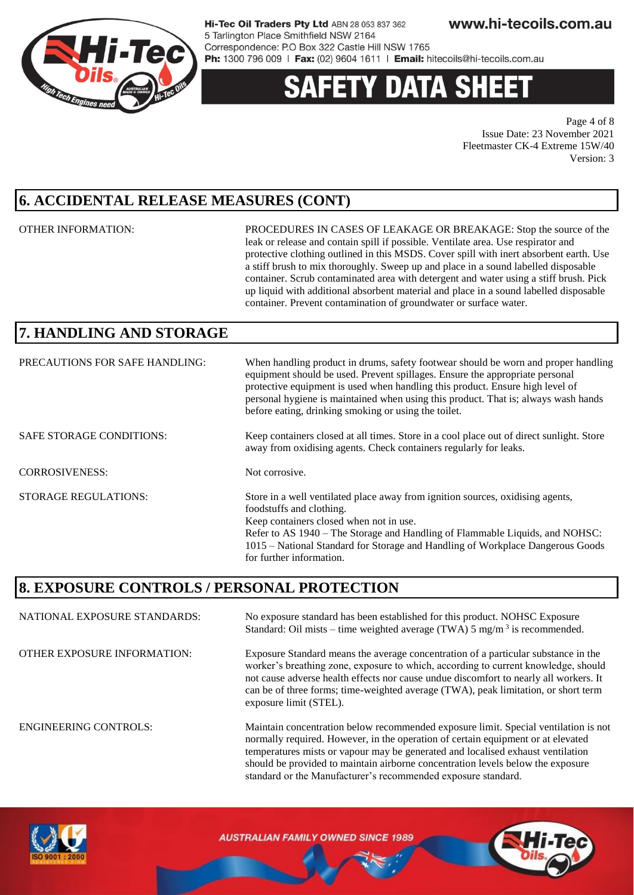

### **Y DATA SH**

Page 4 of 8 Issue Date: 23 November 2021 Fleetmaster CK-4 Extreme 15W/40 Version: 3

### **6. ACCIDENTAL RELEASE MEASURES (CONT)**

OTHER INFORMATION: PROCEDURES IN CASES OF LEAKAGE OR BREAKAGE: Stop the source of the leak or release and contain spill if possible. Ventilate area. Use respirator and protective clothing outlined in this MSDS. Cover spill with inert absorbent earth. Use a stiff brush to mix thoroughly. Sweep up and place in a sound labelled disposable container. Scrub contaminated area with detergent and water using a stiff brush. Pick up liquid with additional absorbent material and place in a sound labelled disposable container. Prevent contamination of groundwater or surface water.

should be provided to maintain airborne concentration levels below the exposure

standard or the Manufacturer's recommended exposure standard.

### **7. HANDLING AND STORAGE**

| PRECAUTIONS FOR SAFE HANDLING:  | When handling product in drums, safety footwear should be worn and proper handling<br>equipment should be used. Prevent spillages. Ensure the appropriate personal<br>protective equipment is used when handling this product. Ensure high level of<br>personal hygiene is maintained when using this product. That is; always wash hands<br>before eating, drinking smoking or using the toilet. |
|---------------------------------|---------------------------------------------------------------------------------------------------------------------------------------------------------------------------------------------------------------------------------------------------------------------------------------------------------------------------------------------------------------------------------------------------|
| <b>SAFE STORAGE CONDITIONS:</b> | Keep containers closed at all times. Store in a cool place out of direct sunlight. Store<br>away from oxidising agents. Check containers regularly for leaks.                                                                                                                                                                                                                                     |
| <b>CORROSIVENESS:</b>           | Not corrosive.                                                                                                                                                                                                                                                                                                                                                                                    |
| <b>STORAGE REGULATIONS:</b>     | Store in a well ventilated place away from ignition sources, oxidising agents,<br>foodstuffs and clothing.<br>Keep containers closed when not in use.<br>Refer to AS 1940 – The Storage and Handling of Flammable Liquids, and NOHSC:<br>1015 – National Standard for Storage and Handling of Workplace Dangerous Goods<br>for further information.                                               |

### **8. EXPOSURE CONTROLS / PERSONAL PROTECTION**

NATIONAL EXPOSURE STANDARDS: No exposure standard has been established for this product. NOHSC Exposure Standard: Oil mists – time weighted average (TWA)  $5 \text{ mg/m}^3$  is recommended. OTHER EXPOSURE INFORMATION: Exposure Standard means the average concentration of a particular substance in the worker's breathing zone, exposure to which, according to current knowledge, should not cause adverse health effects nor cause undue discomfort to nearly all workers. It can be of three forms; time-weighted average (TWA), peak limitation, or short term exposure limit (STEL). ENGINEERING CONTROLS: Maintain concentration below recommended exposure limit. Special ventilation is not normally required. However, in the operation of certain equipment or at elevated temperatures mists or vapour may be generated and localised exhaust ventilation

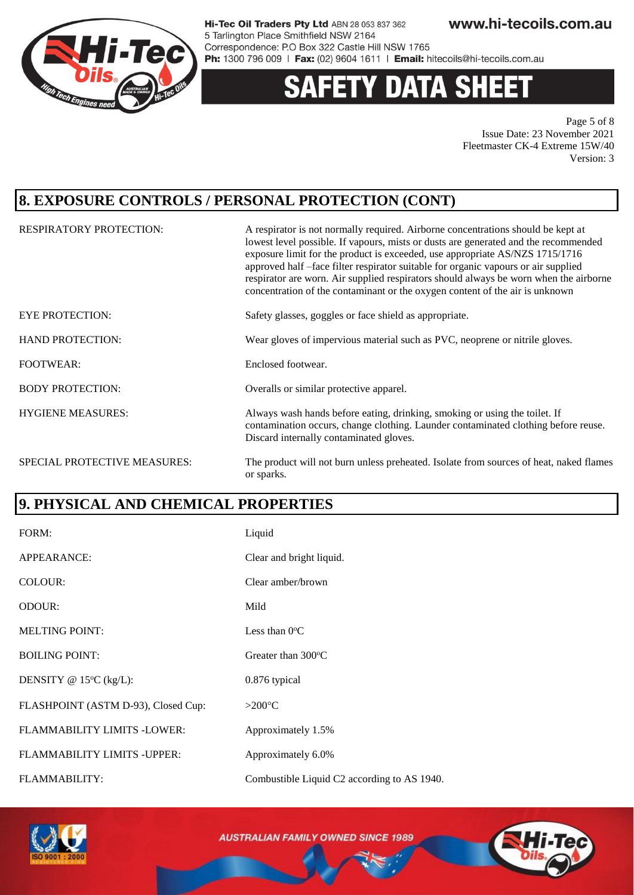

# **DATA SHEET**

Page 5 of 8 Issue Date: 23 November 2021 Fleetmaster CK-4 Extreme 15W/40 Version: 3

### **8. EXPOSURE CONTROLS / PERSONAL PROTECTION (CONT)**

| <b>RESPIRATORY PROTECTION:</b> | A respirator is not normally required. Airborne concentrations should be kept at<br>lowest level possible. If vapours, mists or dusts are generated and the recommended<br>exposure limit for the product is exceeded, use appropriate AS/NZS 1715/1716<br>approved half -face filter respirator suitable for organic vapours or air supplied<br>respirator are worn. Air supplied respirators should always be worn when the airborne<br>concentration of the contaminant or the oxygen content of the air is unknown |
|--------------------------------|------------------------------------------------------------------------------------------------------------------------------------------------------------------------------------------------------------------------------------------------------------------------------------------------------------------------------------------------------------------------------------------------------------------------------------------------------------------------------------------------------------------------|
| <b>EYE PROTECTION:</b>         | Safety glasses, goggles or face shield as appropriate.                                                                                                                                                                                                                                                                                                                                                                                                                                                                 |
| <b>HAND PROTECTION:</b>        | Wear gloves of impervious material such as PVC, neoprene or nitrile gloves.                                                                                                                                                                                                                                                                                                                                                                                                                                            |
| <b>FOOTWEAR:</b>               | Enclosed footwear.                                                                                                                                                                                                                                                                                                                                                                                                                                                                                                     |
| <b>BODY PROTECTION:</b>        | Overalls or similar protective apparel.                                                                                                                                                                                                                                                                                                                                                                                                                                                                                |
| <b>HYGIENE MEASURES:</b>       | Always wash hands before eating, drinking, smoking or using the toilet. If<br>contamination occurs, change clothing. Launder contaminated clothing before reuse.<br>Discard internally contaminated gloves.                                                                                                                                                                                                                                                                                                            |
| SPECIAL PROTECTIVE MEASURES:   | The product will not burn unless preheated. Isolate from sources of heat, naked flames<br>or sparks.                                                                                                                                                                                                                                                                                                                                                                                                                   |

### **9. PHYSICAL AND CHEMICAL PROPERTIES**

| FORM:                               | Liquid                                      |
|-------------------------------------|---------------------------------------------|
| APPEARANCE:                         | Clear and bright liquid.                    |
| COLOUR:                             | Clear amber/brown                           |
| ODOUR:                              | Mild                                        |
| <b>MELTING POINT:</b>               | Less than $0^{\circ}$ C                     |
| <b>BOILING POINT:</b>               | Greater than $300^{\circ}$ C                |
| DENSITY @ $15^{\circ}$ C (kg/L):    | 0.876 typical                               |
| FLASHPOINT (ASTM D-93), Closed Cup: | $>200^{\circ}C$                             |
| FLAMMABILITY LIMITS -LOWER:         | Approximately 1.5%                          |
| FLAMMABILITY LIMITS - UPPER:        | Approximately 6.0%                          |
| <b>FLAMMABILITY:</b>                | Combustible Liquid C2 according to AS 1940. |

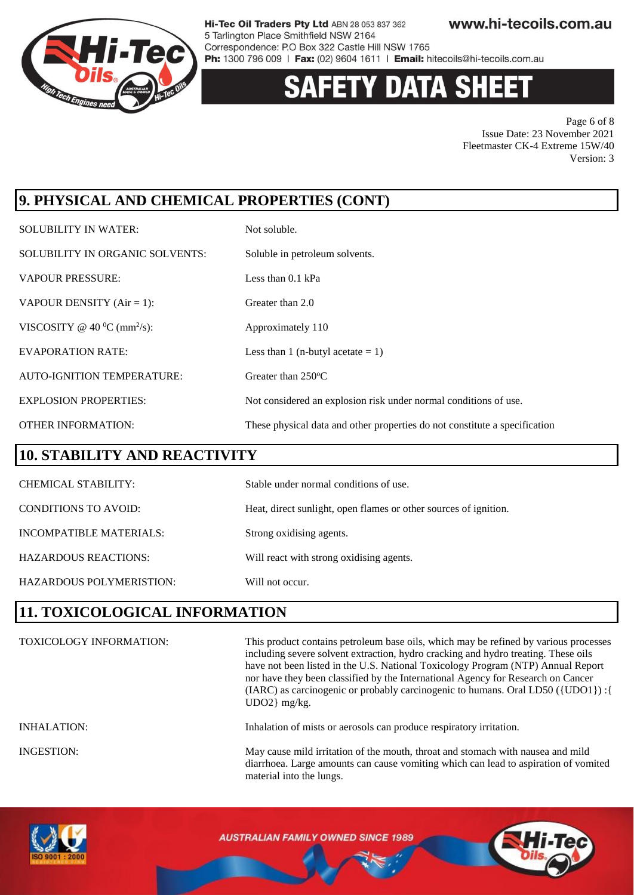

# **Y DATA SHEET**

Page 6 of 8 Issue Date: 23 November 2021 Fleetmaster CK-4 Extreme 15W/40 Version: 3

### **9. PHYSICAL AND CHEMICAL PROPERTIES (CONT)**

| <b>SOLUBILITY IN WATER:</b>                | Not soluble.                                                               |
|--------------------------------------------|----------------------------------------------------------------------------|
| SOLUBILITY IN ORGANIC SOLVENTS:            | Soluble in petroleum solvents.                                             |
| <b>VAPOUR PRESSURE:</b>                    | Less than $0.1$ kPa                                                        |
| VAPOUR DENSITY $(Air = 1)$ :               | Greater than 2.0                                                           |
| VISCOSITY @ 40 $^0C$ (mm <sup>2</sup> /s): | Approximately 110                                                          |
| <b>EVAPORATION RATE:</b>                   | Less than 1 (n-butyl acetate $= 1$ )                                       |
| <b>AUTO-IGNITION TEMPERATURE:</b>          | Greater than 250°C                                                         |
| <b>EXPLOSION PROPERTIES:</b>               | Not considered an explosion risk under normal conditions of use.           |
| <b>OTHER INFORMATION:</b>                  | These physical data and other properties do not constitute a specification |

### **10. STABILITY AND REACTIVITY**

| <b>CHEMICAL STABILITY:</b>  | Stable under normal conditions of use.                           |
|-----------------------------|------------------------------------------------------------------|
| <b>CONDITIONS TO AVOID:</b> | Heat, direct sunlight, open flames or other sources of ignition. |
| INCOMPATIBLE MATERIALS:     | Strong oxidising agents.                                         |
| <b>HAZARDOUS REACTIONS:</b> | Will react with strong oxidising agents.                         |
| HAZARDOUS POLYMERISTION:    | Will not occur.                                                  |

### **11. TOXICOLOGICAL INFORMATION**

| <b>TOXICOLOGY INFORMATION:</b> | This product contains petroleum base oils, which may be refined by various processes<br>including severe solvent extraction, hydro cracking and hydro treating. These oils<br>have not been listed in the U.S. National Toxicology Program (NTP) Annual Report<br>nor have they been classified by the International Agency for Research on Cancer<br>(IARC) as carcinogenic or probably carcinogenic to humans. Oral LD50 ({UDO1}) : {<br>$UDO2$ } mg/kg. |
|--------------------------------|------------------------------------------------------------------------------------------------------------------------------------------------------------------------------------------------------------------------------------------------------------------------------------------------------------------------------------------------------------------------------------------------------------------------------------------------------------|
| <b>INHALATION:</b>             | Inhalation of mists or aerosols can produce respiratory irritation.                                                                                                                                                                                                                                                                                                                                                                                        |
| <b>INGESTION:</b>              | May cause mild irritation of the mouth, throat and stomach with nausea and mild<br>diarrhoea. Large amounts can cause vomiting which can lead to aspiration of vomited<br>material into the lungs.                                                                                                                                                                                                                                                         |

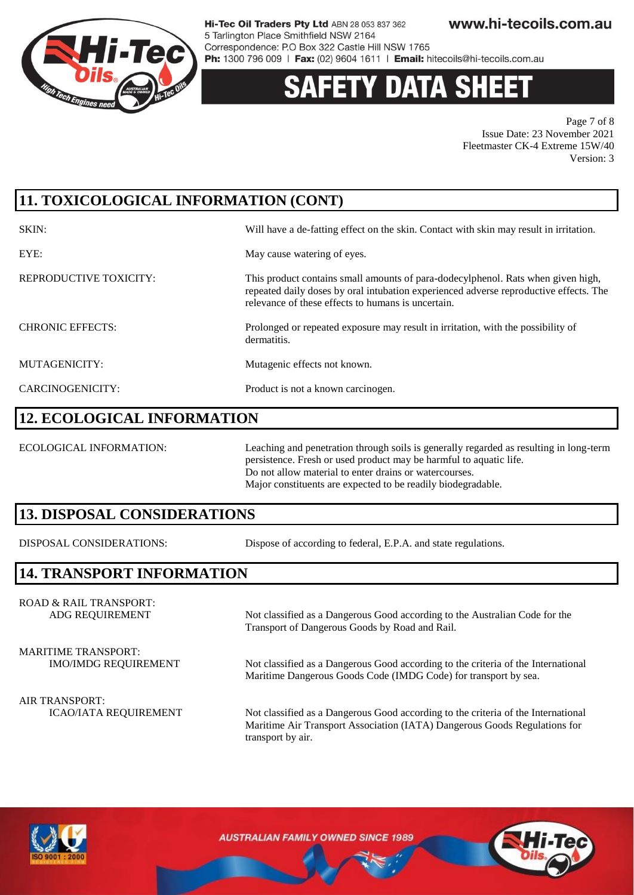

# **Y DATA SH**

Page 7 of 8 Issue Date: 23 November 2021 Fleetmaster CK-4 Extreme 15W/40 Version: 3

### **11. TOXICOLOGICAL INFORMATION (CONT)**

| SKIN:                   | Will have a de-fatting effect on the skin. Contact with skin may result in irritation.                                                                                                                                          |
|-------------------------|---------------------------------------------------------------------------------------------------------------------------------------------------------------------------------------------------------------------------------|
| EYE:                    | May cause watering of eyes.                                                                                                                                                                                                     |
| REPRODUCTIVE TOXICITY:  | This product contains small amounts of para-dodecylphenol. Rats when given high,<br>repeated daily doses by oral intubation experienced adverse reproductive effects. The<br>relevance of these effects to humans is uncertain. |
| <b>CHRONIC EFFECTS:</b> | Prolonged or repeated exposure may result in irritation, with the possibility of<br>dermatitis.                                                                                                                                 |
| MUTAGENICITY:           | Mutagenic effects not known.                                                                                                                                                                                                    |
| CARCINOGENICITY:        | Product is not a known carcinogen.                                                                                                                                                                                              |

### **12. ECOLOGICAL INFORMATION**

ECOLOGICAL INFORMATION: Leaching and penetration through soils is generally regarded as resulting in long-term persistence. Fresh or used product may be harmful to aquatic life. Do not allow material to enter drains or watercourses. Major constituents are expected to be readily biodegradable.

### **13. DISPOSAL CONSIDERATIONS**

DISPOSAL CONSIDERATIONS: Dispose of according to federal, E.P.A. and state regulations.

### **14. TRANSPORT INFORMATION**

ROAD & RAIL TRANSPORT:

ADG REQUIREMENT Not classified as a Dangerous Good according to the Australian Code for the Transport of Dangerous Goods by Road and Rail.

MARITIME TRANSPORT:

IMO/IMDG REQUIREMENT Not classified as a Dangerous Good according to the criteria of the International Maritime Dangerous Goods Code (IMDG Code) for transport by sea.

ICAO/IATA REQUIREMENT Not classified as a Dangerous Good according to the criteria of the International Maritime Air Transport Association (IATA) Dangerous Goods Regulations for transport by air.



AIR TRANSPORT: